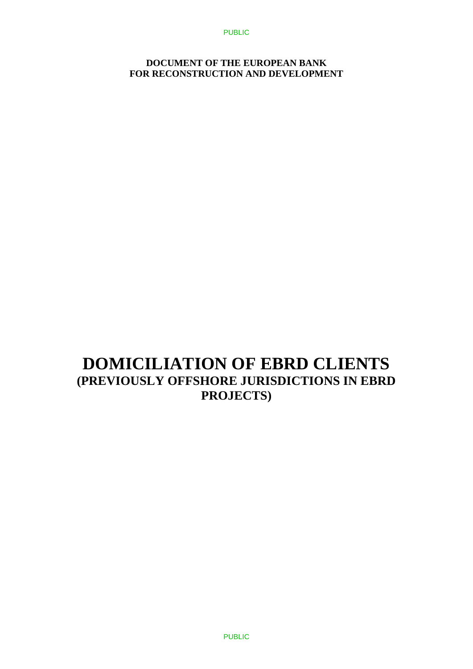#### **DOCUMENT OF THE EUROPEAN BANK FOR RECONSTRUCTION AND DEVELOPMENT**

# **DOMICILIATION OF EBRD CLIENTS (PREVIOUSLY OFFSHORE JURISDICTIONS IN EBRD PROJECTS)**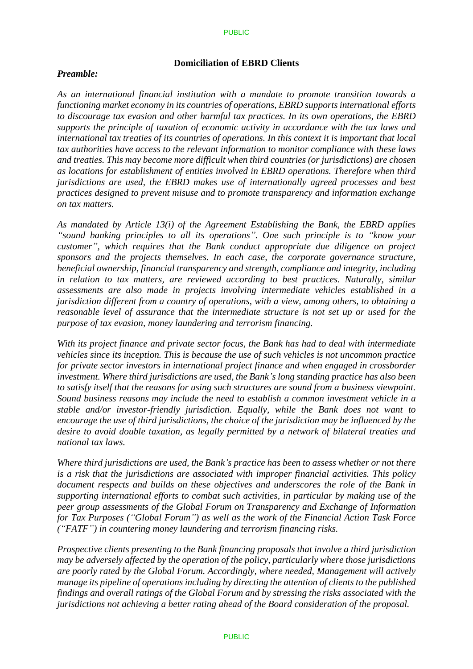#### PUBLIC

#### **Domiciliation of EBRD Clients**

#### *Preamble:*

*As an international financial institution with a mandate to promote transition towards a functioning market economy in its countries of operations, EBRD supports international efforts to discourage tax evasion and other harmful tax practices. In its own operations, the EBRD supports the principle of taxation of economic activity in accordance with the tax laws and international tax treaties of its countries of operations. In this context it is important that local tax authorities have access to the relevant information to monitor compliance with these laws and treaties. This may become more difficult when third countries (or jurisdictions) are chosen as locations for establishment of entities involved in EBRD operations. Therefore when third jurisdictions are used, the EBRD makes use of internationally agreed processes and best practices designed to prevent misuse and to promote transparency and information exchange on tax matters.*

*As mandated by Article 13(i) of the Agreement Establishing the Bank, the EBRD applies "sound banking principles to all its operations". One such principle is to "know your customer", which requires that the Bank conduct appropriate due diligence on project sponsors and the projects themselves. In each case, the corporate governance structure, beneficial ownership, financial transparency and strength, compliance and integrity, including in relation to tax matters, are reviewed according to best practices. Naturally, similar assessments are also made in projects involving intermediate vehicles established in a jurisdiction different from a country of operations, with a view, among others, to obtaining a reasonable level of assurance that the intermediate structure is not set up or used for the purpose of tax evasion, money laundering and terrorism financing.*

*With its project finance and private sector focus, the Bank has had to deal with intermediate vehicles since its inception. This is because the use of such vehicles is not uncommon practice for private sector investors in international project finance and when engaged in crossborder investment. Where third jurisdictions are used, the Bank's long standing practice has also been to satisfy itself that the reasons for using such structures are sound from a business viewpoint. Sound business reasons may include the need to establish a common investment vehicle in a stable and/or investor-friendly jurisdiction. Equally, while the Bank does not want to encourage the use of third jurisdictions, the choice of the jurisdiction may be influenced by the desire to avoid double taxation, as legally permitted by a network of bilateral treaties and national tax laws.*

*Where third jurisdictions are used, the Bank's practice has been to assess whether or not there is a risk that the jurisdictions are associated with improper financial activities. This policy document respects and builds on these objectives and underscores the role of the Bank in supporting international efforts to combat such activities, in particular by making use of the peer group assessments of the Global Forum on Transparency and Exchange of Information for Tax Purposes ("Global Forum") as well as the work of the Financial Action Task Force ("FATF") in countering money laundering and terrorism financing risks.* 

*Prospective clients presenting to the Bank financing proposals that involve a third jurisdiction may be adversely affected by the operation of the policy, particularly where those jurisdictions are poorly rated by the Global Forum. Accordingly, where needed, Management will actively manage its pipeline of operations including by directing the attention of clients to the published findings and overall ratings of the Global Forum and by stressing the risks associated with the jurisdictions not achieving a better rating ahead of the Board consideration of the proposal.*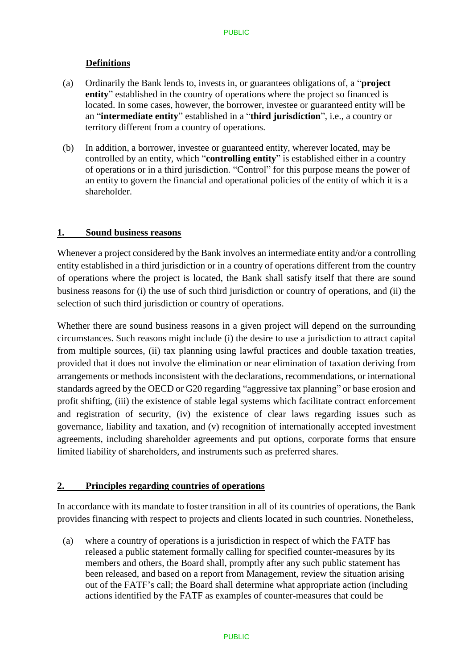## **Definitions**

- (a) Ordinarily the Bank lends to, invests in, or guarantees obligations of, a "**project entity**" established in the country of operations where the project so financed is located. In some cases, however, the borrower, investee or guaranteed entity will be an "**intermediate entity**" established in a "**third jurisdiction**", i.e., a country or territory different from a country of operations.
- (b) In addition, a borrower, investee or guaranteed entity, wherever located, may be controlled by an entity, which "**controlling entity**" is established either in a country of operations or in a third jurisdiction. "Control" for this purpose means the power of an entity to govern the financial and operational policies of the entity of which it is a shareholder.

## **1. Sound business reasons**

Whenever a project considered by the Bank involves an intermediate entity and/or a controlling entity established in a third jurisdiction or in a country of operations different from the country of operations where the project is located, the Bank shall satisfy itself that there are sound business reasons for (i) the use of such third jurisdiction or country of operations, and (ii) the selection of such third jurisdiction or country of operations.

Whether there are sound business reasons in a given project will depend on the surrounding circumstances. Such reasons might include (i) the desire to use a jurisdiction to attract capital from multiple sources, (ii) tax planning using lawful practices and double taxation treaties, provided that it does not involve the elimination or near elimination of taxation deriving from arrangements or methods inconsistent with the declarations, recommendations, or international standards agreed by the OECD or G20 regarding "aggressive tax planning" or base erosion and profit shifting, (iii) the existence of stable legal systems which facilitate contract enforcement and registration of security, (iv) the existence of clear laws regarding issues such as governance, liability and taxation, and (v) recognition of internationally accepted investment agreements, including shareholder agreements and put options, corporate forms that ensure limited liability of shareholders, and instruments such as preferred shares.

#### **2. Principles regarding countries of operations**

In accordance with its mandate to foster transition in all of its countries of operations, the Bank provides financing with respect to projects and clients located in such countries. Nonetheless,

(a) where a country of operations is a jurisdiction in respect of which the FATF has released a public statement formally calling for specified counter-measures by its members and others, the Board shall, promptly after any such public statement has been released, and based on a report from Management, review the situation arising out of the FATF's call; the Board shall determine what appropriate action (including actions identified by the FATF as examples of counter-measures that could be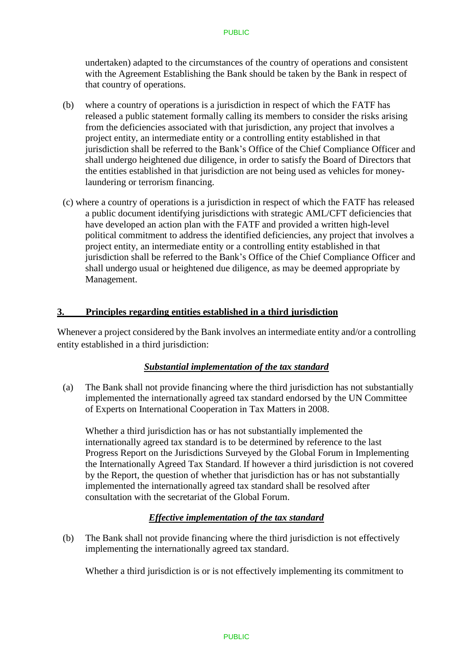undertaken) adapted to the circumstances of the country of operations and consistent with the Agreement Establishing the Bank should be taken by the Bank in respect of that country of operations.

- (b) where a country of operations is a jurisdiction in respect of which the FATF has released a public statement formally calling its members to consider the risks arising from the deficiencies associated with that jurisdiction, any project that involves a project entity, an intermediate entity or a controlling entity established in that jurisdiction shall be referred to the Bank's Office of the Chief Compliance Officer and shall undergo heightened due diligence, in order to satisfy the Board of Directors that the entities established in that jurisdiction are not being used as vehicles for moneylaundering or terrorism financing.
- (c) where a country of operations is a jurisdiction in respect of which the FATF has released a public document identifying jurisdictions with strategic AML/CFT deficiencies that have developed an action plan with the FATF and provided a written high-level political commitment to address the identified deficiencies, any project that involves a project entity, an intermediate entity or a controlling entity established in that jurisdiction shall be referred to the Bank's Office of the Chief Compliance Officer and shall undergo usual or heightened due diligence, as may be deemed appropriate by Management.

#### **3. Principles regarding entities established in a third jurisdiction**

Whenever a project considered by the Bank involves an intermediate entity and/or a controlling entity established in a third jurisdiction:

#### *Substantial implementation of the tax standard*

(a) The Bank shall not provide financing where the third jurisdiction has not substantially implemented the internationally agreed tax standard endorsed by the UN Committee of Experts on International Cooperation in Tax Matters in 2008.

Whether a third jurisdiction has or has not substantially implemented the internationally agreed tax standard is to be determined by reference to the last Progress Report on the Jurisdictions Surveyed by the Global Forum in Implementing the Internationally Agreed Tax Standard. If however a third jurisdiction is not covered by the Report, the question of whether that jurisdiction has or has not substantially implemented the internationally agreed tax standard shall be resolved after consultation with the secretariat of the Global Forum.

#### *Effective implementation of the tax standard*

(b) The Bank shall not provide financing where the third jurisdiction is not effectively implementing the internationally agreed tax standard.

Whether a third jurisdiction is or is not effectively implementing its commitment to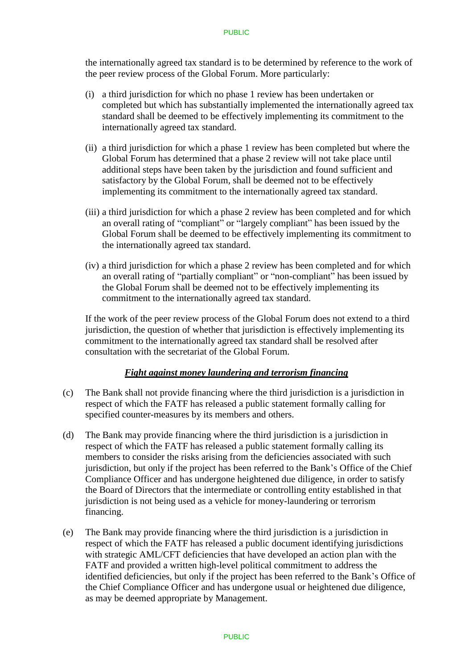#### PUBLIC

the internationally agreed tax standard is to be determined by reference to the work of the peer review process of the Global Forum. More particularly:

- (i) a third jurisdiction for which no phase 1 review has been undertaken or completed but which has substantially implemented the internationally agreed tax standard shall be deemed to be effectively implementing its commitment to the internationally agreed tax standard.
- (ii) a third jurisdiction for which a phase 1 review has been completed but where the Global Forum has determined that a phase 2 review will not take place until additional steps have been taken by the jurisdiction and found sufficient and satisfactory by the Global Forum, shall be deemed not to be effectively implementing its commitment to the internationally agreed tax standard.
- (iii) a third jurisdiction for which a phase 2 review has been completed and for which an overall rating of "compliant" or "largely compliant" has been issued by the Global Forum shall be deemed to be effectively implementing its commitment to the internationally agreed tax standard.
- (iv) a third jurisdiction for which a phase 2 review has been completed and for which an overall rating of "partially compliant" or "non-compliant" has been issued by the Global Forum shall be deemed not to be effectively implementing its commitment to the internationally agreed tax standard.

If the work of the peer review process of the Global Forum does not extend to a third jurisdiction, the question of whether that jurisdiction is effectively implementing its commitment to the internationally agreed tax standard shall be resolved after consultation with the secretariat of the Global Forum.

#### *Fight against money laundering and terrorism financing*

- (c) The Bank shall not provide financing where the third jurisdiction is a jurisdiction in respect of which the FATF has released a public statement formally calling for specified counter-measures by its members and others.
- (d) The Bank may provide financing where the third jurisdiction is a jurisdiction in respect of which the FATF has released a public statement formally calling its members to consider the risks arising from the deficiencies associated with such jurisdiction, but only if the project has been referred to the Bank's Office of the Chief Compliance Officer and has undergone heightened due diligence, in order to satisfy the Board of Directors that the intermediate or controlling entity established in that jurisdiction is not being used as a vehicle for money-laundering or terrorism financing.
- (e) The Bank may provide financing where the third jurisdiction is a jurisdiction in respect of which the FATF has released a public document identifying jurisdictions with strategic AML/CFT deficiencies that have developed an action plan with the FATF and provided a written high-level political commitment to address the identified deficiencies, but only if the project has been referred to the Bank's Office of the Chief Compliance Officer and has undergone usual or heightened due diligence, as may be deemed appropriate by Management.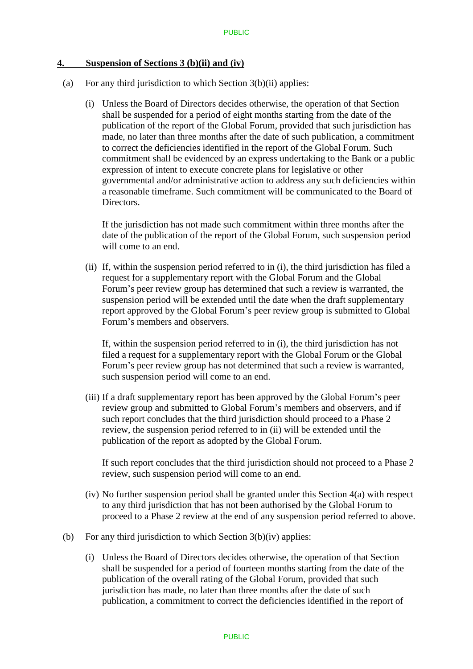## **4. Suspension of Sections 3 (b)(ii) and (iv)**

- (a) For any third jurisdiction to which Section  $3(b)(ii)$  applies:
	- (i) Unless the Board of Directors decides otherwise, the operation of that Section shall be suspended for a period of eight months starting from the date of the publication of the report of the Global Forum, provided that such jurisdiction has made, no later than three months after the date of such publication, a commitment to correct the deficiencies identified in the report of the Global Forum. Such commitment shall be evidenced by an express undertaking to the Bank or a public expression of intent to execute concrete plans for legislative or other governmental and/or administrative action to address any such deficiencies within a reasonable timeframe. Such commitment will be communicated to the Board of Directors.

If the jurisdiction has not made such commitment within three months after the date of the publication of the report of the Global Forum, such suspension period will come to an end.

(ii) If, within the suspension period referred to in (i), the third jurisdiction has filed a request for a supplementary report with the Global Forum and the Global Forum's peer review group has determined that such a review is warranted, the suspension period will be extended until the date when the draft supplementary report approved by the Global Forum's peer review group is submitted to Global Forum's members and observers.

If, within the suspension period referred to in (i), the third jurisdiction has not filed a request for a supplementary report with the Global Forum or the Global Forum's peer review group has not determined that such a review is warranted, such suspension period will come to an end.

(iii) If a draft supplementary report has been approved by the Global Forum's peer review group and submitted to Global Forum's members and observers, and if such report concludes that the third jurisdiction should proceed to a Phase 2 review, the suspension period referred to in (ii) will be extended until the publication of the report as adopted by the Global Forum.

If such report concludes that the third jurisdiction should not proceed to a Phase 2 review, such suspension period will come to an end.

- (iv) No further suspension period shall be granted under this Section 4(a) with respect to any third jurisdiction that has not been authorised by the Global Forum to proceed to a Phase 2 review at the end of any suspension period referred to above.
- (b) For any third jurisdiction to which Section 3(b)(iv) applies:
	- (i) Unless the Board of Directors decides otherwise, the operation of that Section shall be suspended for a period of fourteen months starting from the date of the publication of the overall rating of the Global Forum, provided that such jurisdiction has made, no later than three months after the date of such publication, a commitment to correct the deficiencies identified in the report of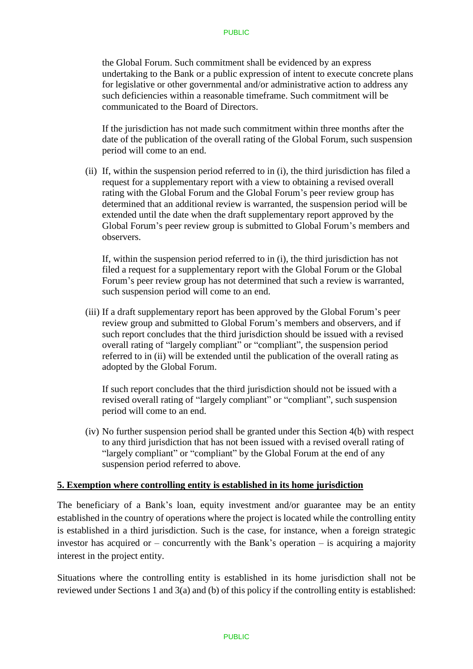the Global Forum. Such commitment shall be evidenced by an express undertaking to the Bank or a public expression of intent to execute concrete plans for legislative or other governmental and/or administrative action to address any such deficiencies within a reasonable timeframe. Such commitment will be communicated to the Board of Directors.

If the jurisdiction has not made such commitment within three months after the date of the publication of the overall rating of the Global Forum, such suspension period will come to an end.

(ii) If, within the suspension period referred to in (i), the third jurisdiction has filed a request for a supplementary report with a view to obtaining a revised overall rating with the Global Forum and the Global Forum's peer review group has determined that an additional review is warranted, the suspension period will be extended until the date when the draft supplementary report approved by the Global Forum's peer review group is submitted to Global Forum's members and observers.

If, within the suspension period referred to in (i), the third jurisdiction has not filed a request for a supplementary report with the Global Forum or the Global Forum's peer review group has not determined that such a review is warranted, such suspension period will come to an end.

(iii) If a draft supplementary report has been approved by the Global Forum's peer review group and submitted to Global Forum's members and observers, and if such report concludes that the third jurisdiction should be issued with a revised overall rating of "largely compliant" or "compliant", the suspension period referred to in (ii) will be extended until the publication of the overall rating as adopted by the Global Forum.

If such report concludes that the third jurisdiction should not be issued with a revised overall rating of "largely compliant" or "compliant", such suspension period will come to an end.

(iv) No further suspension period shall be granted under this Section 4(b) with respect to any third jurisdiction that has not been issued with a revised overall rating of "largely compliant" or "compliant" by the Global Forum at the end of any suspension period referred to above.

#### **5. Exemption where controlling entity is established in its home jurisdiction**

The beneficiary of a Bank's loan, equity investment and/or guarantee may be an entity established in the country of operations where the project is located while the controlling entity is established in a third jurisdiction. Such is the case, for instance, when a foreign strategic investor has acquired or – concurrently with the Bank's operation – is acquiring a majority interest in the project entity.

Situations where the controlling entity is established in its home jurisdiction shall not be reviewed under Sections 1 and 3(a) and (b) of this policy if the controlling entity is established: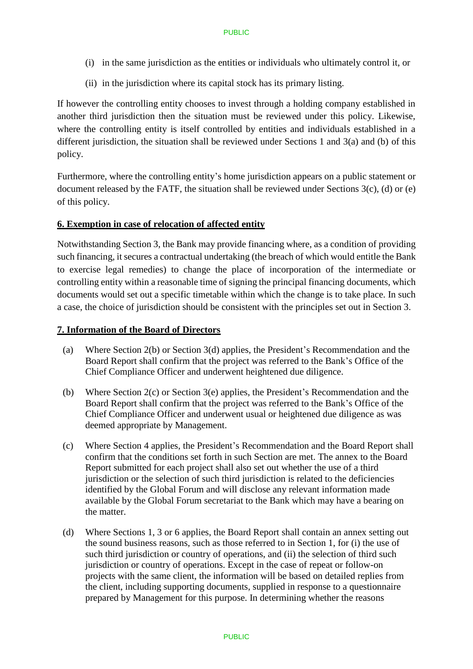- (i) in the same jurisdiction as the entities or individuals who ultimately control it, or
- (ii) in the jurisdiction where its capital stock has its primary listing.

If however the controlling entity chooses to invest through a holding company established in another third jurisdiction then the situation must be reviewed under this policy. Likewise, where the controlling entity is itself controlled by entities and individuals established in a different jurisdiction, the situation shall be reviewed under Sections 1 and 3(a) and (b) of this policy.

Furthermore, where the controlling entity's home jurisdiction appears on a public statement or document released by the FATF, the situation shall be reviewed under Sections 3(c), (d) or (e) of this policy.

## **6. Exemption in case of relocation of affected entity**

Notwithstanding Section 3, the Bank may provide financing where, as a condition of providing such financing, it secures a contractual undertaking (the breach of which would entitle the Bank to exercise legal remedies) to change the place of incorporation of the intermediate or controlling entity within a reasonable time of signing the principal financing documents, which documents would set out a specific timetable within which the change is to take place. In such a case, the choice of jurisdiction should be consistent with the principles set out in Section 3.

#### **7. Information of the Board of Directors**

- (a) Where Section 2(b) or Section 3(d) applies, the President's Recommendation and the Board Report shall confirm that the project was referred to the Bank's Office of the Chief Compliance Officer and underwent heightened due diligence.
- (b) Where Section 2(c) or Section 3(e) applies, the President's Recommendation and the Board Report shall confirm that the project was referred to the Bank's Office of the Chief Compliance Officer and underwent usual or heightened due diligence as was deemed appropriate by Management.
- (c) Where Section 4 applies, the President's Recommendation and the Board Report shall confirm that the conditions set forth in such Section are met. The annex to the Board Report submitted for each project shall also set out whether the use of a third jurisdiction or the selection of such third jurisdiction is related to the deficiencies identified by the Global Forum and will disclose any relevant information made available by the Global Forum secretariat to the Bank which may have a bearing on the matter.
- (d) Where Sections 1, 3 or 6 applies, the Board Report shall contain an annex setting out the sound business reasons, such as those referred to in Section 1, for (i) the use of such third jurisdiction or country of operations, and (ii) the selection of third such jurisdiction or country of operations. Except in the case of repeat or follow-on projects with the same client, the information will be based on detailed replies from the client, including supporting documents, supplied in response to a questionnaire prepared by Management for this purpose. In determining whether the reasons